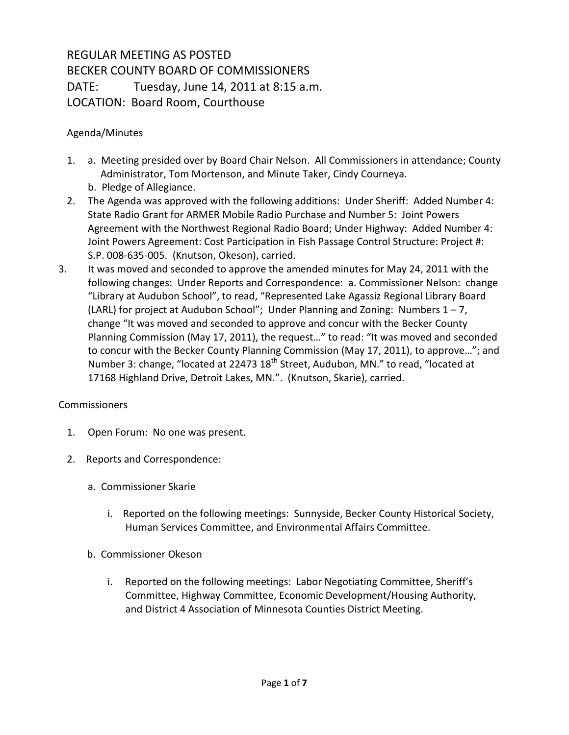## REGULAR MEETING AS POSTED BECKER COUNTY BOARD OF COMMISSIONERS DATE: Tuesday, June 14, 2011 at 8:15 a.m. LOCATION: Board Room, Courthouse

## Agenda/Minutes

- 1. a. Meeting presided over by Board Chair Nelson. All Commissioners in attendance; County Administrator, Tom Mortenson, and Minute Taker, Cindy Courneya. b. Pledge of Allegiance.
- 2. The Agenda was approved with the following additions: Under Sheriff: Added Number 4: State Radio Grant for ARMER Mobile Radio Purchase and Number 5: Joint Powers Agreement with the Northwest Regional Radio Board; Under Highway: Added Number 4: Joint Powers Agreement: Cost Participation in Fish Passage Control Structure: Project #: S.P. 008-635-005. (Knutson, Okeson), carried.
- 3. It was moved and seconded to approve the amended minutes for May 24, 2011 with the following changes: Under Reports and Correspondence: a. Commissioner Nelson: change "Library at Audubon School", to read, "Represented Lake Agassiz Regional Library Board (LARL) for project at Audubon School"; Under Planning and Zoning: Numbers 1 – 7, change "It was moved and seconded to approve and concur with the Becker County Planning Commission (May 17, 2011), the request…" to read: "It was moved and seconded to concur with the Becker County Planning Commission (May 17, 2011), to approve…"; and Number 3: change, "located at 22473 18<sup>th</sup> Street, Audubon, MN." to read, "located at 17168 Highland Drive, Detroit Lakes, MN.". (Knutson, Skarie), carried.

## Commissioners

- 1. Open Forum: No one was present.
- 2. Reports and Correspondence:
	- a. Commissioner Skarie
		- i. Reported on the following meetings: Sunnyside, Becker County Historical Society, Human Services Committee, and Environmental Affairs Committee.
	- b. Commissioner Okeson
		- i. Reported on the following meetings: Labor Negotiating Committee, Sheriff's Committee, Highway Committee, Economic Development/Housing Authority, and District 4 Association of Minnesota Counties District Meeting.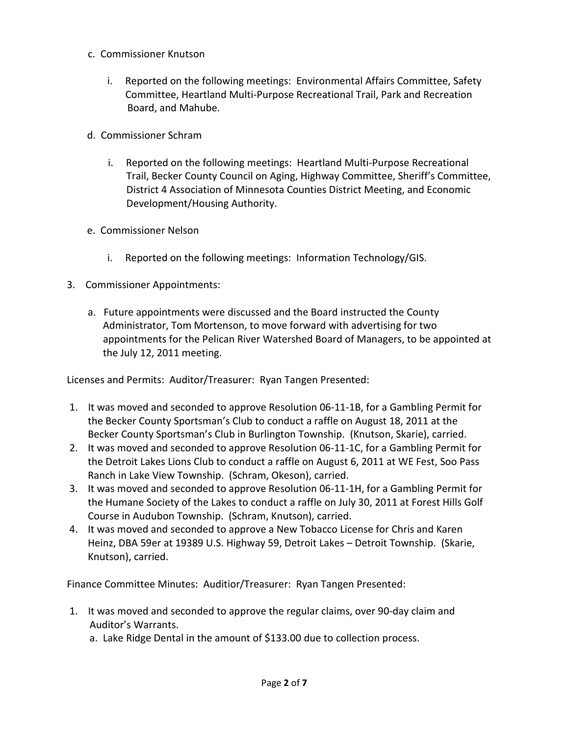- c. Commissioner Knutson
	- i. Reported on the following meetings: Environmental Affairs Committee, Safety Committee, Heartland Multi-Purpose Recreational Trail, Park and Recreation Board, and Mahube.
- d. Commissioner Schram
	- i. Reported on the following meetings: Heartland Multi-Purpose Recreational Trail, Becker County Council on Aging, Highway Committee, Sheriff's Committee, District 4 Association of Minnesota Counties District Meeting, and Economic Development/Housing Authority.
- e. Commissioner Nelson
	- i. Reported on the following meetings: Information Technology/GIS.
- 3. Commissioner Appointments:
	- a. Future appointments were discussed and the Board instructed the County Administrator, Tom Mortenson, to move forward with advertising for two appointments for the Pelican River Watershed Board of Managers, to be appointed at the July 12, 2011 meeting.

Licenses and Permits: Auditor/Treasurer: Ryan Tangen Presented:

- 1. It was moved and seconded to approve Resolution 06-11-1B, for a Gambling Permit for the Becker County Sportsman's Club to conduct a raffle on August 18, 2011 at the Becker County Sportsman's Club in Burlington Township. (Knutson, Skarie), carried.
- 2. It was moved and seconded to approve Resolution 06-11-1C, for a Gambling Permit for the Detroit Lakes Lions Club to conduct a raffle on August 6, 2011 at WE Fest, Soo Pass Ranch in Lake View Township. (Schram, Okeson), carried.
- 3. It was moved and seconded to approve Resolution 06-11-1H, for a Gambling Permit for the Humane Society of the Lakes to conduct a raffle on July 30, 2011 at Forest Hills Golf Course in Audubon Township. (Schram, Knutson), carried.
- 4. It was moved and seconded to approve a New Tobacco License for Chris and Karen Heinz, DBA 59er at 19389 U.S. Highway 59, Detroit Lakes – Detroit Township. (Skarie, Knutson), carried.

Finance Committee Minutes: Auditior/Treasurer: Ryan Tangen Presented:

1. It was moved and seconded to approve the regular claims, over 90-day claim and Auditor's Warrants.

a. Lake Ridge Dental in the amount of \$133.00 due to collection process.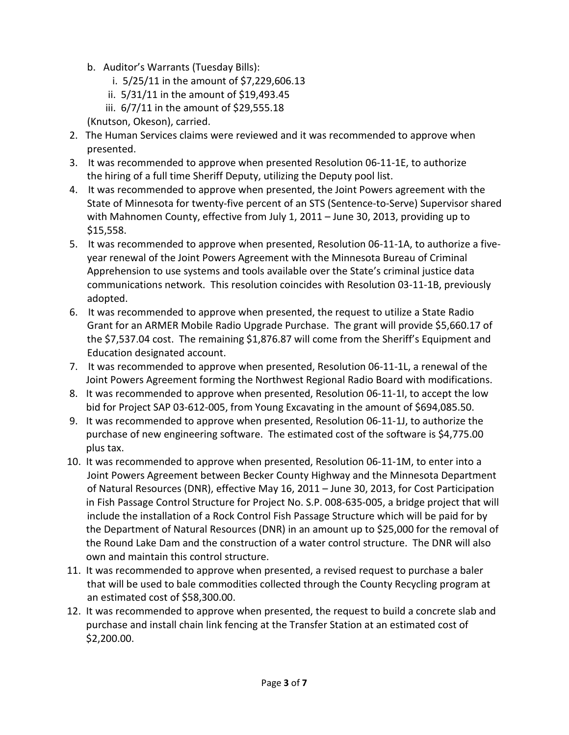- b. Auditor's Warrants (Tuesday Bills):
	- i. 5/25/11 in the amount of \$7,229,606.13
	- ii. 5/31/11 in the amount of \$19,493.45
	- iii. 6/7/11 in the amount of \$29,555.18
- (Knutson, Okeson), carried.
- 2. The Human Services claims were reviewed and it was recommended to approve when presented.
- 3. It was recommended to approve when presented Resolution 06-11-1E, to authorize the hiring of a full time Sheriff Deputy, utilizing the Deputy pool list.
- 4. It was recommended to approve when presented, the Joint Powers agreement with the State of Minnesota for twenty-five percent of an STS (Sentence-to-Serve) Supervisor shared with Mahnomen County, effective from July 1, 2011 – June 30, 2013, providing up to \$15,558.
- 5. It was recommended to approve when presented, Resolution 06-11-1A, to authorize a five year renewal of the Joint Powers Agreement with the Minnesota Bureau of Criminal Apprehension to use systems and tools available over the State's criminal justice data communications network. This resolution coincides with Resolution 03-11-1B, previously adopted.
- 6. It was recommended to approve when presented, the request to utilize a State Radio Grant for an ARMER Mobile Radio Upgrade Purchase. The grant will provide \$5,660.17 of the \$7,537.04 cost. The remaining \$1,876.87 will come from the Sheriff's Equipment and Education designated account.
- 7. It was recommended to approve when presented, Resolution 06-11-1L, a renewal of the Joint Powers Agreement forming the Northwest Regional Radio Board with modifications.
- 8. It was recommended to approve when presented, Resolution 06-11-1I, to accept the low bid for Project SAP 03-612-005, from Young Excavating in the amount of \$694,085.50.
- 9. It was recommended to approve when presented, Resolution 06-11-1J, to authorize the purchase of new engineering software. The estimated cost of the software is \$4,775.00 plus tax.
- 10. It was recommended to approve when presented, Resolution 06-11-1M, to enter into a Joint Powers Agreement between Becker County Highway and the Minnesota Department of Natural Resources (DNR), effective May 16, 2011 – June 30, 2013, for Cost Participation in Fish Passage Control Structure for Project No. S.P. 008-635-005, a bridge project that will include the installation of a Rock Control Fish Passage Structure which will be paid for by the Department of Natural Resources (DNR) in an amount up to \$25,000 for the removal of the Round Lake Dam and the construction of a water control structure. The DNR will also own and maintain this control structure.
- 11. It was recommended to approve when presented, a revised request to purchase a baler that will be used to bale commodities collected through the County Recycling program at an estimated cost of \$58,300.00.
- 12. It was recommended to approve when presented, the request to build a concrete slab and purchase and install chain link fencing at the Transfer Station at an estimated cost of \$2,200.00.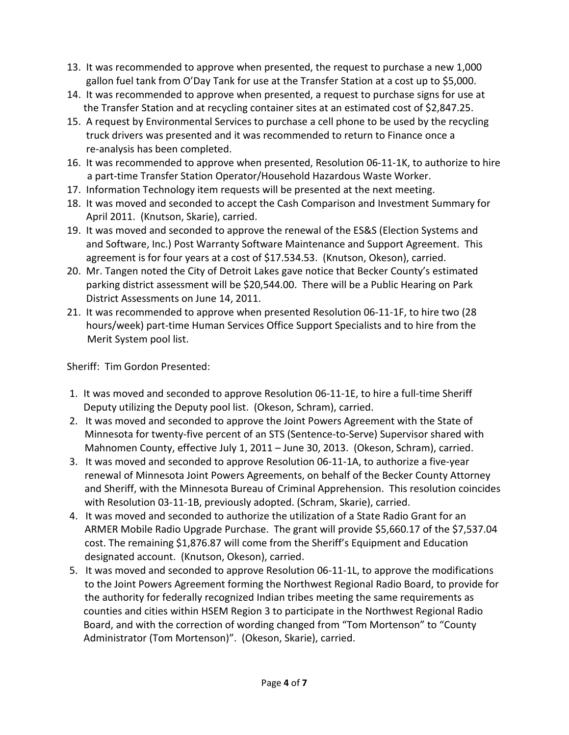- 13. It was recommended to approve when presented, the request to purchase a new 1,000 gallon fuel tank from O'Day Tank for use at the Transfer Station at a cost up to \$5,000.
- 14. It was recommended to approve when presented, a request to purchase signs for use at the Transfer Station and at recycling container sites at an estimated cost of \$2,847.25.
- 15. A request by Environmental Services to purchase a cell phone to be used by the recycling truck drivers was presented and it was recommended to return to Finance once a re-analysis has been completed.
- 16. It was recommended to approve when presented, Resolution 06-11-1K, to authorize to hire a part-time Transfer Station Operator/Household Hazardous Waste Worker.
- 17. Information Technology item requests will be presented at the next meeting.
- 18. It was moved and seconded to accept the Cash Comparison and Investment Summary for April 2011. (Knutson, Skarie), carried.
- 19. It was moved and seconded to approve the renewal of the ES&S (Election Systems and and Software, Inc.) Post Warranty Software Maintenance and Support Agreement. This agreement is for four years at a cost of \$17.534.53. (Knutson, Okeson), carried.
- 20. Mr. Tangen noted the City of Detroit Lakes gave notice that Becker County's estimated parking district assessment will be \$20,544.00. There will be a Public Hearing on Park District Assessments on June 14, 2011.
- 21. It was recommended to approve when presented Resolution 06-11-1F, to hire two (28 hours/week) part-time Human Services Office Support Specialists and to hire from the Merit System pool list.

Sheriff: Tim Gordon Presented:

- 1. It was moved and seconded to approve Resolution 06-11-1E, to hire a full-time Sheriff Deputy utilizing the Deputy pool list. (Okeson, Schram), carried.
- 2. It was moved and seconded to approve the Joint Powers Agreement with the State of Minnesota for twenty-five percent of an STS (Sentence-to-Serve) Supervisor shared with Mahnomen County, effective July 1, 2011 – June 30, 2013. (Okeson, Schram), carried.
- 3. It was moved and seconded to approve Resolution 06-11-1A, to authorize a five-year renewal of Minnesota Joint Powers Agreements, on behalf of the Becker County Attorney and Sheriff, with the Minnesota Bureau of Criminal Apprehension. This resolution coincides with Resolution 03-11-1B, previously adopted. (Schram, Skarie), carried.
- 4. It was moved and seconded to authorize the utilization of a State Radio Grant for an ARMER Mobile Radio Upgrade Purchase. The grant will provide \$5,660.17 of the \$7,537.04 cost. The remaining \$1,876.87 will come from the Sheriff's Equipment and Education designated account. (Knutson, Okeson), carried.
- 5. It was moved and seconded to approve Resolution 06-11-1L, to approve the modifications to the Joint Powers Agreement forming the Northwest Regional Radio Board, to provide for the authority for federally recognized Indian tribes meeting the same requirements as counties and cities within HSEM Region 3 to participate in the Northwest Regional Radio Board, and with the correction of wording changed from "Tom Mortenson" to "County Administrator (Tom Mortenson)". (Okeson, Skarie), carried.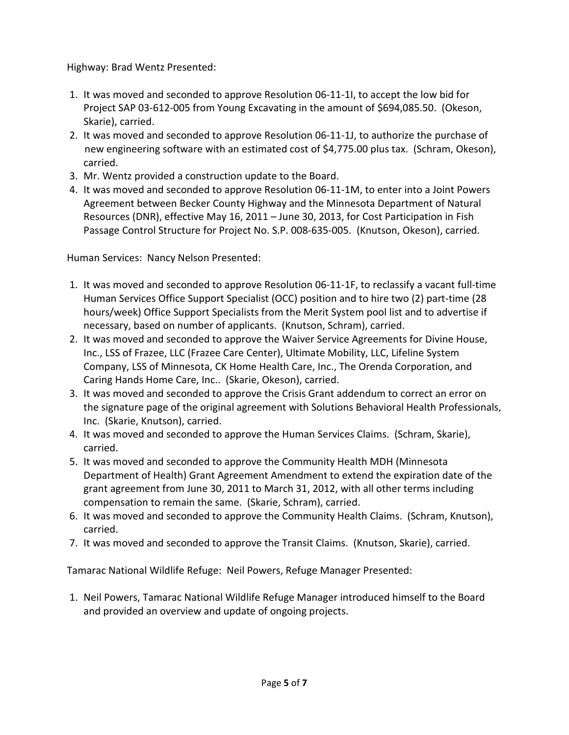Highway: Brad Wentz Presented:

- 1. It was moved and seconded to approve Resolution 06-11-1I, to accept the low bid for Project SAP 03-612-005 from Young Excavating in the amount of \$694,085.50. (Okeson, Skarie), carried.
- 2. It was moved and seconded to approve Resolution 06-11-1J, to authorize the purchase of new engineering software with an estimated cost of \$4,775.00 plus tax. (Schram, Okeson), carried.
- 3. Mr. Wentz provided a construction update to the Board.
- 4. It was moved and seconded to approve Resolution 06-11-1M, to enter into a Joint Powers Agreement between Becker County Highway and the Minnesota Department of Natural Resources (DNR), effective May 16, 2011 – June 30, 2013, for Cost Participation in Fish Passage Control Structure for Project No. S.P. 008-635-005. (Knutson, Okeson), carried.

Human Services: Nancy Nelson Presented:

- 1. It was moved and seconded to approve Resolution 06-11-1F, to reclassify a vacant full-time Human Services Office Support Specialist (OCC) position and to hire two (2) part-time (28 hours/week) Office Support Specialists from the Merit System pool list and to advertise if necessary, based on number of applicants. (Knutson, Schram), carried.
- 2. It was moved and seconded to approve the Waiver Service Agreements for Divine House, Inc., LSS of Frazee, LLC (Frazee Care Center), Ultimate Mobility, LLC, Lifeline System Company, LSS of Minnesota, CK Home Health Care, Inc., The Orenda Corporation, and Caring Hands Home Care, Inc.. (Skarie, Okeson), carried.
- 3. It was moved and seconded to approve the Crisis Grant addendum to correct an error on the signature page of the original agreement with Solutions Behavioral Health Professionals, Inc. (Skarie, Knutson), carried.
- 4. It was moved and seconded to approve the Human Services Claims. (Schram, Skarie), carried.
- 5. It was moved and seconded to approve the Community Health MDH (Minnesota Department of Health) Grant Agreement Amendment to extend the expiration date of the grant agreement from June 30, 2011 to March 31, 2012, with all other terms including compensation to remain the same. (Skarie, Schram), carried.
- 6. It was moved and seconded to approve the Community Health Claims. (Schram, Knutson), carried.
- 7. It was moved and seconded to approve the Transit Claims. (Knutson, Skarie), carried.

Tamarac National Wildlife Refuge: Neil Powers, Refuge Manager Presented:

1. Neil Powers, Tamarac National Wildlife Refuge Manager introduced himself to the Board and provided an overview and update of ongoing projects.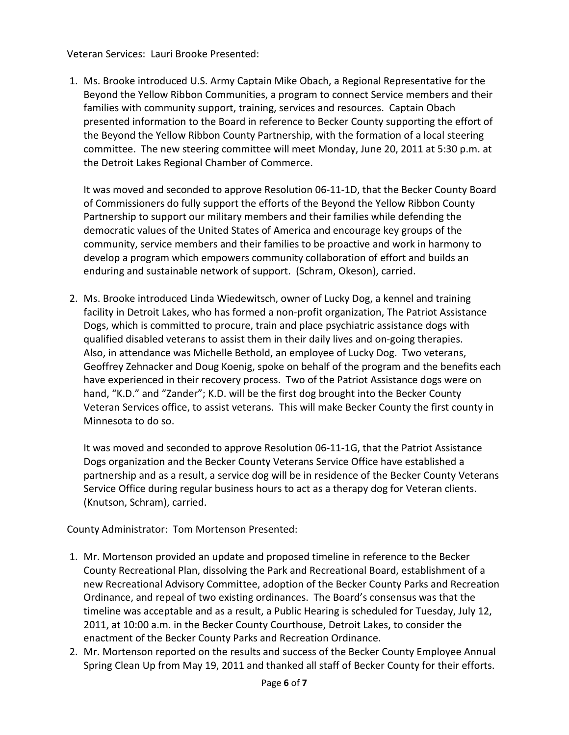Veteran Services: Lauri Brooke Presented:

1. Ms. Brooke introduced U.S. Army Captain Mike Obach, a Regional Representative for the Beyond the Yellow Ribbon Communities, a program to connect Service members and their families with community support, training, services and resources. Captain Obach presented information to the Board in reference to Becker County supporting the effort of the Beyond the Yellow Ribbon County Partnership, with the formation of a local steering committee. The new steering committee will meet Monday, June 20, 2011 at 5:30 p.m. at the Detroit Lakes Regional Chamber of Commerce.

It was moved and seconded to approve Resolution 06-11-1D, that the Becker County Board of Commissioners do fully support the efforts of the Beyond the Yellow Ribbon County Partnership to support our military members and their families while defending the democratic values of the United States of America and encourage key groups of the community, service members and their families to be proactive and work in harmony to develop a program which empowers community collaboration of effort and builds an enduring and sustainable network of support. (Schram, Okeson), carried.

2. Ms. Brooke introduced Linda Wiedewitsch, owner of Lucky Dog, a kennel and training facility in Detroit Lakes, who has formed a non-profit organization, The Patriot Assistance Dogs, which is committed to procure, train and place psychiatric assistance dogs with qualified disabled veterans to assist them in their daily lives and on-going therapies. Also, in attendance was Michelle Bethold, an employee of Lucky Dog. Two veterans, Geoffrey Zehnacker and Doug Koenig, spoke on behalf of the program and the benefits each have experienced in their recovery process. Two of the Patriot Assistance dogs were on hand, "K.D." and "Zander"; K.D. will be the first dog brought into the Becker County Veteran Services office, to assist veterans. This will make Becker County the first county in Minnesota to do so.

It was moved and seconded to approve Resolution 06-11-1G, that the Patriot Assistance Dogs organization and the Becker County Veterans Service Office have established a partnership and as a result, a service dog will be in residence of the Becker County Veterans Service Office during regular business hours to act as a therapy dog for Veteran clients. (Knutson, Schram), carried.

County Administrator: Tom Mortenson Presented:

- 1. Mr. Mortenson provided an update and proposed timeline in reference to the Becker County Recreational Plan, dissolving the Park and Recreational Board, establishment of a new Recreational Advisory Committee, adoption of the Becker County Parks and Recreation Ordinance, and repeal of two existing ordinances. The Board's consensus was that the timeline was acceptable and as a result, a Public Hearing is scheduled for Tuesday, July 12, 2011, at 10:00 a.m. in the Becker County Courthouse, Detroit Lakes, to consider the enactment of the Becker County Parks and Recreation Ordinance.
- 2. Mr. Mortenson reported on the results and success of the Becker County Employee Annual Spring Clean Up from May 19, 2011 and thanked all staff of Becker County for their efforts.